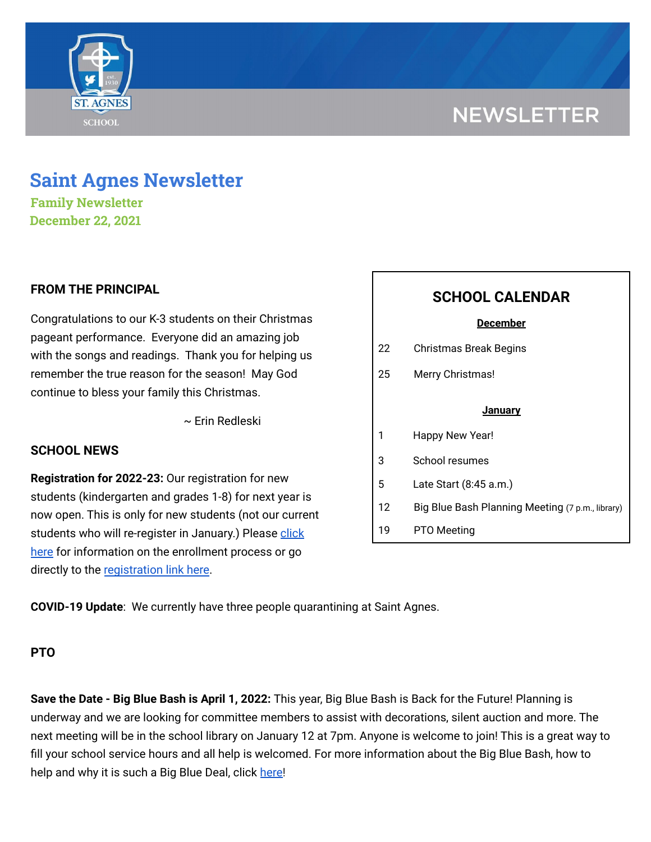# **NEWSLETTER**



**Family Newsletter December 22, 2021**

## **FROM THE PRINCIPAL**

Congratulations to our K-3 students on their Christmas pageant performance. Everyone did an amazing job with the songs and readings. Thank you for helping us remember the true reason for the season! May God continue to bless your family this Christmas.

~ Erin Redleski

### **SCHOOL NEWS**

**Registration for 2022-23:** Our registration for new students (kindergarten and grades 1-8) for next year is now open. This is only for new students (not our current students who will re-register in January.) Please [click](https://school.saintagnes.com/admission/) [here](https://school.saintagnes.com/admission/) for information on the enrollment process or go directly to the [registration](https://sycamore.school/login?schoolId=3292) link here.

|    | <b>SCHOOL CALENDAR</b>                           |
|----|--------------------------------------------------|
|    | <u>December</u>                                  |
| 22 | Christmas Break Begins                           |
| 25 | Merry Christmas!                                 |
|    | January                                          |
|    |                                                  |
| 1  | Happy New Year!                                  |
| 3  | School resumes                                   |
| 5  | Late Start (8:45 a.m.)                           |
| 12 | Big Blue Bash Planning Meeting (7 p.m., library) |
| 19 | PTO Meeting                                      |

**COVID-19 Update**: We currently have three people quarantining at Saint Agnes.

### **PTO**

**Save the Date - Big Blue Bash is April 1, 2022:** This year, Big Blue Bash is Back for the Future! Planning is underway and we are looking for committee members to assist with decorations, silent auction and more. The next meeting will be in the school library on January 12 at 7pm. Anyone is welcome to join! This is a great way to fill your school service hours and all help is welcomed. For more information about the Big Blue Bash, how to help and why it is such a Big Blue Deal, click [here!](https://bbb2022.givesmart.com/)